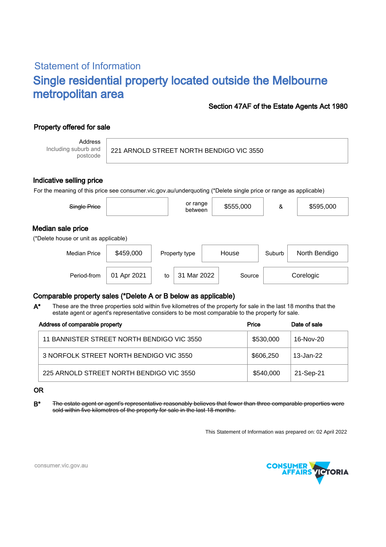# Statement of Information Single residential property located outside the Melbourne metropolitan area

### Section 47AF of the Estate Agents Act 1980

## Property offered for sale

Address Including suburb and postcode

221 ARNOLD STREET NORTH BENDIGO VIC 3550

#### Indicative selling price

For the meaning of this price see consumer.vic.gov.au/underquoting (\*Delete single price or range as applicable)

| Single Price                                               |             |    | or range<br>between |       | \$555,000 | &      | \$595,000     |  |
|------------------------------------------------------------|-------------|----|---------------------|-------|-----------|--------|---------------|--|
| Median sale price<br>(*Delete house or unit as applicable) |             |    |                     |       |           |        |               |  |
| <b>Median Price</b>                                        | \$459,000   |    | Property type       | House |           | Suburb | North Bendigo |  |
| Period-from                                                | 01 Apr 2021 | to | 31 Mar 2022         |       | Source    |        | Corelogic     |  |

#### Comparable property sales (\*Delete A or B below as applicable)

These are the three properties sold within five kilometres of the property for sale in the last 18 months that the estate agent or agent's representative considers to be most comparable to the property for sale. A\*

| Address of comparable property             | Price     | Date of sale |
|--------------------------------------------|-----------|--------------|
| 11 BANNISTER STREET NORTH BENDIGO VIC 3550 | \$530,000 | 16-Nov-20    |
| 3 NORFOLK STREET NORTH BENDIGO VIC 3550    | \$606,250 | 13-Jan-22    |
| 225 ARNOLD STREET NORTH BENDIGO VIC 3550   | \$540,000 | 21-Sep-21    |

#### OR

B<sup>\*</sup> The estate agent or agent's representative reasonably believes that fewer than three comparable properties were sold within five kilometres of the property for sale in the last 18 months.

This Statement of Information was prepared on: 02 April 2022



consumer.vic.gov.au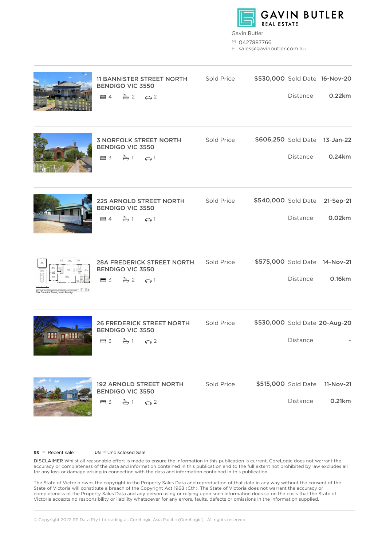

Gavin Butler

M 0427887766

E sales@gavinbutler.com.au

|                                           | <b>11 BANNISTER STREET NORTH</b><br><b>BENDIGO VIC 3550</b><br>$\Box 4 \quad \Box 2 \quad \bigodot 2$                                        | Sold Price        | Distance                        | \$530,000 Sold Date 16-Nov-20<br>0.22km |
|-------------------------------------------|----------------------------------------------------------------------------------------------------------------------------------------------|-------------------|---------------------------------|-----------------------------------------|
|                                           | <b>3 NORFOLK STREET NORTH</b><br><b>BENDIGO VIC 3550</b><br>昌 3<br>$\overset{\tiny{[8]}}{\Longleftrightarrow} 1$<br>$\odot$ 1                | Sold Price        | Distance                        | \$606,250 Sold Date 13-Jan-22<br>0.24km |
|                                           | <b>225 ARNOLD STREET NORTH</b><br><b>BENDIGO VIC 3550</b><br>昌 4<br>$\Leftrightarrow$ 1<br>$\odot$ 1                                         | <b>Sold Price</b> | Distance                        | \$540,000 Sold Date 21-Sep-21<br>0.02km |
| тH<br>28a Frederick Street, North Bendigo | 28A FREDERICK STREET NORTH Sold Price<br><b>BENDIGO VIC 3550</b><br>昌 3<br>$2 \odot 1$                                                       |                   | Distance                        | \$575,000 Sold Date 14-Nov-21<br>0.16km |
|                                           | 26 FREDERICK STREET NORTH Sold Price<br><b>BENDIGO VIC 3550</b><br>昌 3<br>≞ 1<br>$\odot$ 2                                                   |                   | Distance                        | \$530,000 Sold Date 20-Aug-20           |
|                                           | <b>192 ARNOLD STREET NORTH</b><br><b>BENDIGO VIC 3550</b><br>昌 3<br>$\stackrel{6}{\leftrightarrow} 1 \qquad \stackrel{6}{\leftrightarrow} 2$ | Sold Price        | \$515,000 Sold Date<br>Distance | 11-Nov-21<br>0.21km                     |

 $RS = Recent sale$   $UN = Undisclosed Sale$ 

DISCLAIMER Whilst all reasonable effort is made to ensure the information in this publication is current, CoreLogic does not warrant the accuracy or completeness of the data and information contained in this publication and to the full extent not prohibited by law excludes all for any loss or damage arising in connection with the data and information contained in this publication.

The State of Victoria owns the copyright in the Property Sales Data and reproduction of that data in any way without the consent of the State of Victoria will constitute a breach of the Copyright Act 1968 (Cth). The State of Victoria does not warrant the accuracy or completeness of the Property Sales Data and any person using or relying upon such information does so on the basis that the State of Victoria accepts no responsibility or liability whatsoever for any errors, faults, defects or omissions in the information supplied.